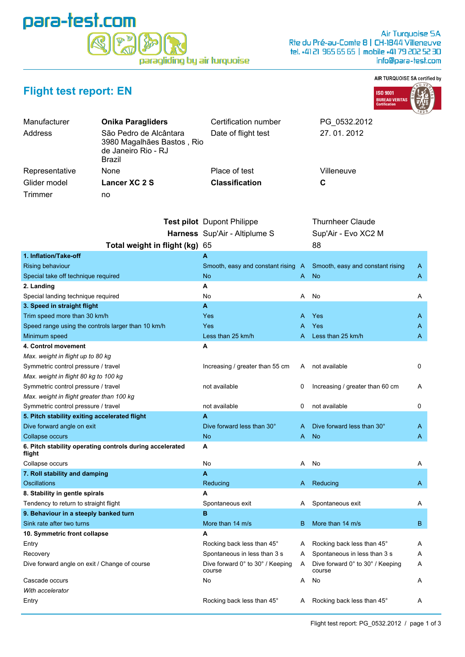## para-test.com  $\Psi^{\triangleright}$ paragliding by air turquoise

## AIR TURQUOISE SA certified by



| <b>Flight test report: EN</b> |  |  |  |  |  |
|-------------------------------|--|--|--|--|--|
|-------------------------------|--|--|--|--|--|

| Manufacturer   | <b>Onika Paragliders</b>                                                              | Certification number              | PG 0532.2012     |  |
|----------------|---------------------------------------------------------------------------------------|-----------------------------------|------------------|--|
| Address        | São Pedro de Alcântara<br>3980 Magalhães Bastos, Rio<br>de Janeiro Rio - RJ<br>Brazil | Date of flight test               | 27.01.2012       |  |
| Representative | None                                                                                  | Place of test                     | Villeneuve       |  |
| Glider model   | Lancer XC 2 S                                                                         | <b>Classification</b>             | C                |  |
| Trimmer        | no                                                                                    |                                   |                  |  |
|                |                                                                                       | <b>Test pilot</b> Dupont Philippe | Thurnheer Claude |  |

|                                                                    | Harness Sup'Air - Altiplume S              |     | Sup'Air - Evo XC2 M                        |   |
|--------------------------------------------------------------------|--------------------------------------------|-----|--------------------------------------------|---|
| Total weight in flight (kg)                                        | 65                                         |     | 88                                         |   |
| 1. Inflation/Take-off                                              | А                                          |     |                                            |   |
| Rising behaviour                                                   | Smooth, easy and constant rising           | - A | Smooth, easy and constant rising           | A |
| Special take off technique required                                | No                                         | A   | <b>No</b>                                  | A |
| 2. Landing                                                         | A                                          |     |                                            |   |
| Special landing technique required                                 | No                                         | Α   | No                                         | Α |
| 3. Speed in straight flight                                        | A                                          |     |                                            |   |
| Trim speed more than 30 km/h                                       | Yes                                        | A   | Yes                                        | A |
| Speed range using the controls larger than 10 km/h                 | Yes                                        | A   | Yes                                        | A |
| Minimum speed                                                      | Less than 25 km/h                          | A   | Less than 25 km/h                          | A |
| 4. Control movement                                                | А                                          |     |                                            |   |
| Max. weight in flight up to 80 kg                                  |                                            |     |                                            |   |
| Symmetric control pressure / travel                                | Increasing / greater than 55 cm            | A   | not available                              | 0 |
| Max. weight in flight 80 kg to 100 kg                              |                                            |     |                                            |   |
| Symmetric control pressure / travel                                | not available                              | 0   | Increasing / greater than 60 cm            | A |
| Max. weight in flight greater than 100 kg                          |                                            |     |                                            |   |
| Symmetric control pressure / travel                                | not available                              | 0   | not available                              | 0 |
| 5. Pitch stability exiting accelerated flight                      | А                                          |     |                                            |   |
| Dive forward angle on exit                                         | Dive forward less than 30°                 | A   | Dive forward less than 30°                 | A |
| Collapse occurs                                                    | No                                         | A   | <b>No</b>                                  | A |
| 6. Pitch stability operating controls during accelerated<br>flight | А                                          |     |                                            |   |
| Collapse occurs                                                    | No                                         | A   | No                                         | Α |
| 7. Roll stability and damping                                      | A                                          |     |                                            |   |
| <b>Oscillations</b>                                                | Reducing                                   | A   | Reducing                                   | A |
| 8. Stability in gentle spirals                                     | А                                          |     |                                            |   |
| Tendency to return to straight flight                              | Spontaneous exit                           | A   | Spontaneous exit                           | Α |
| 9. Behaviour in a steeply banked turn                              | B                                          |     |                                            |   |
| Sink rate after two turns                                          | More than 14 m/s                           | B   | More than 14 m/s                           | B |
| 10. Symmetric front collapse                                       | A                                          |     |                                            |   |
| Entry                                                              | Rocking back less than 45°                 | A   | Rocking back less than 45°                 | Α |
| Recovery                                                           | Spontaneous in less than 3 s               | A   | Spontaneous in less than 3 s               | Α |
| Dive forward angle on exit / Change of course                      | Dive forward 0° to 30° / Keeping<br>course | A   | Dive forward 0° to 30° / Keeping<br>course | A |
| Cascade occurs                                                     | No                                         | A   | No                                         | Α |
| With accelerator                                                   |                                            |     |                                            |   |
| Entry                                                              | Rocking back less than 45°                 | A   | Rocking back less than 45°                 | Α |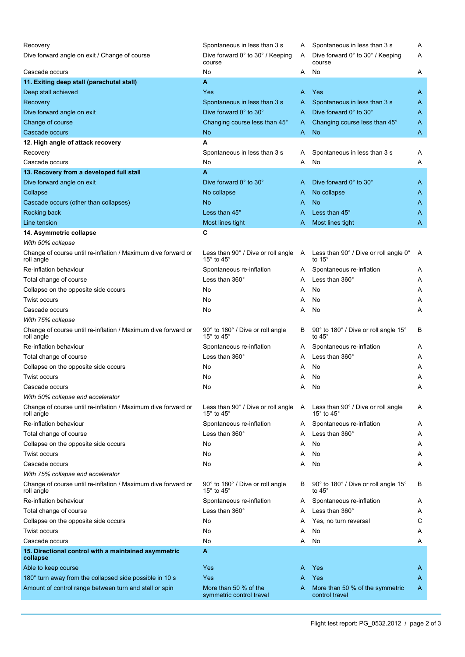| Recovery<br>Dive forward angle on exit / Change of course                   | Spontaneous in less than 3 s<br>Dive forward 0° to 30° / Keeping                            | A<br>A | Spontaneous in less than 3 s<br>Dive forward 0° to 30° / Keeping     | Α<br>Α |
|-----------------------------------------------------------------------------|---------------------------------------------------------------------------------------------|--------|----------------------------------------------------------------------|--------|
| Cascade occurs                                                              | course<br>No                                                                                | A      | course<br>No                                                         | A      |
| 11. Exiting deep stall (parachutal stall)                                   | A                                                                                           |        |                                                                      |        |
|                                                                             | Yes                                                                                         | A      | Yes                                                                  |        |
| Deep stall achieved                                                         |                                                                                             |        |                                                                      | A      |
| Recovery                                                                    | Spontaneous in less than 3 s                                                                | A      | Spontaneous in less than 3 s                                         | A      |
| Dive forward angle on exit                                                  | Dive forward 0° to 30°                                                                      | A      | Dive forward 0° to 30°                                               | A      |
| Change of course                                                            | Changing course less than 45°                                                               | A      | Changing course less than 45°                                        | A      |
| Cascade occurs                                                              | No                                                                                          | A      | No                                                                   | A      |
| 12. High angle of attack recovery                                           | А                                                                                           |        |                                                                      |        |
| Recovery                                                                    | Spontaneous in less than 3 s                                                                | A      | Spontaneous in less than 3 s                                         | Α      |
| Cascade occurs                                                              | No                                                                                          | A      | No                                                                   | Α      |
| 13. Recovery from a developed full stall                                    | A                                                                                           |        |                                                                      |        |
| Dive forward angle on exit                                                  | Dive forward $0^\circ$ to $30^\circ$                                                        | A      | Dive forward $0^\circ$ to $30^\circ$                                 | A      |
| Collapse                                                                    | No collapse                                                                                 | A      | No collapse                                                          | A      |
| Cascade occurs (other than collapses)                                       | No                                                                                          | A      | <b>No</b>                                                            | A      |
| Rocking back                                                                | Less than 45°                                                                               | A      | Less than 45°                                                        | A      |
| Line tension                                                                | Most lines tight                                                                            | A      | Most lines tight                                                     | A      |
| 14. Asymmetric collapse                                                     | C                                                                                           |        |                                                                      |        |
| With 50% collapse                                                           |                                                                                             |        |                                                                      |        |
| Change of course until re-inflation / Maximum dive forward or<br>roll angle | Less than $90^\circ$ / Dive or roll angle $\phantom{1}$ A<br>15 $^{\circ}$ to 45 $^{\circ}$ |        | Less than 90° / Dive or roll angle 0°<br>to $15^\circ$               | A      |
| Re-inflation behaviour                                                      | Spontaneous re-inflation                                                                    | A      | Spontaneous re-inflation                                             | A      |
| Total change of course                                                      | Less than $360^\circ$                                                                       | A      | Less than $360^\circ$                                                | Α      |
| Collapse on the opposite side occurs                                        | No                                                                                          | A      | No                                                                   | A      |
| <b>Twist occurs</b>                                                         | No                                                                                          | Α      | No                                                                   | Α      |
| Cascade occurs                                                              | No                                                                                          | Α      | No                                                                   | Α      |
| With 75% collapse                                                           |                                                                                             |        |                                                                      |        |
| Change of course until re-inflation / Maximum dive forward or<br>roll angle | 90° to 180° / Dive or roll angle<br>15 $\degree$ to 45 $\degree$                            | В      | 90° to 180° / Dive or roll angle 15°<br>to $45^\circ$                | В      |
| Re-inflation behaviour                                                      | Spontaneous re-inflation                                                                    | A      | Spontaneous re-inflation                                             | Α      |
| Total change of course                                                      | Less than 360°                                                                              | A      | Less than 360°                                                       | A      |
| Collapse on the opposite side occurs                                        | No                                                                                          | A      | No                                                                   | A      |
| Twist occurs                                                                | No                                                                                          | A      | No                                                                   | Α      |
| Cascade occurs                                                              | No                                                                                          | A      | No                                                                   | А      |
| With 50% collapse and accelerator                                           |                                                                                             |        |                                                                      |        |
| Change of course until re-inflation / Maximum dive forward or<br>roll angle | Less than 90° / Dive or roll angle<br>15 $^{\circ}$ to 45 $^{\circ}$                        | A      | Less than 90° / Dive or roll angle<br>15 $^{\circ}$ to 45 $^{\circ}$ | A      |
| Re-inflation behaviour                                                      | Spontaneous re-inflation                                                                    | A      | Spontaneous re-inflation                                             | A      |
| Total change of course                                                      | Less than $360^\circ$                                                                       | A      | Less than 360°                                                       | A      |
| Collapse on the opposite side occurs                                        | No                                                                                          | A      | No                                                                   | Α      |
| <b>Twist occurs</b>                                                         | No                                                                                          | A      | No                                                                   | A      |
| Cascade occurs                                                              | No                                                                                          | Α      | No                                                                   | Α      |
| With 75% collapse and accelerator                                           |                                                                                             |        |                                                                      |        |
| Change of course until re-inflation / Maximum dive forward or<br>roll angle | 90° to 180° / Dive or roll angle<br>15 $^{\circ}$ to 45 $^{\circ}$                          | B      | 90° to 180° / Dive or roll angle 15°<br>to $45^\circ$                | В      |
| Re-inflation behaviour                                                      | Spontaneous re-inflation                                                                    | A      | Spontaneous re-inflation                                             | A      |
| Total change of course                                                      | Less than 360°                                                                              | А      | Less than 360°                                                       | A      |
| Collapse on the opposite side occurs                                        | No                                                                                          | A      | Yes, no turn reversal                                                | С      |
| <b>Twist occurs</b>                                                         | No                                                                                          | Α      | No                                                                   | A      |
| Cascade occurs                                                              | No                                                                                          | A      | No                                                                   | Α      |
| 15. Directional control with a maintained asymmetric<br>collapse            | A                                                                                           |        |                                                                      |        |
| Able to keep course                                                         | Yes                                                                                         | A      | Yes                                                                  | A      |
| 180° turn away from the collapsed side possible in 10 s                     | Yes                                                                                         | A      | Yes                                                                  | A      |
| Amount of control range between turn and stall or spin                      | More than 50 % of the<br>symmetric control travel                                           | A      | More than 50 % of the symmetric<br>control travel                    | A      |
|                                                                             |                                                                                             |        |                                                                      |        |